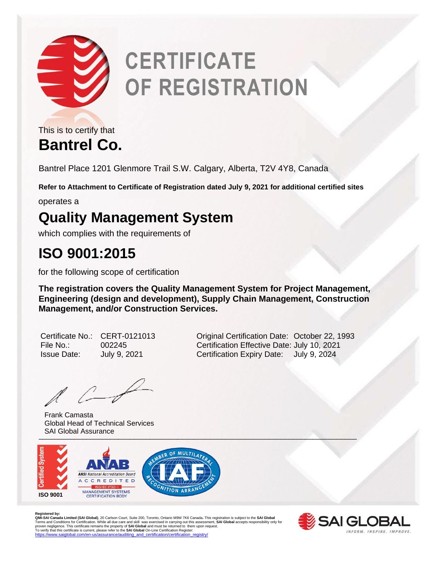

# **CERTIFICATE OF REGISTRATION**

**Bantrel Co.** This is to certify that

Bantrel Place 1201 Glenmore Trail S.W. Calgary, Alberta, T2V 4Y8, Canada

**Refer to Attachment to Certificate of Registration dated July 9, 2021 for additional certified sites**

operates a

#### **Quality Management System**

which complies with the requirements of

### **ISO 9001:2015**

for the following scope of certification

**The registration covers the Quality Management System for Project Management, Engineering (design and development), Supply Chain Management, Construction Management, and/or Construction Services.** 

| Certificate No     |
|--------------------|
| File No.:          |
| <b>Issue Date:</b> |

o.: CERT-0121013 **Cartification Date: October 22, 1993** File No.: 002245 Certification Effective Date: July 10, 2021 July 9, 2021 **Certification Expiry Date:** July 9, 2024

 $\mathbb{Z}$ 

\_\_\_\_\_\_\_\_\_\_\_\_\_\_\_\_\_\_\_\_\_\_\_\_\_\_\_\_\_\_\_\_\_\_\_\_\_\_\_\_\_\_\_\_\_\_\_\_\_\_\_\_\_\_\_\_\_\_\_\_\_\_\_\_\_\_\_\_\_\_\_\_\_\_\_\_\_\_\_\_ Frank Camasta Global Head of Technical Services SAI Global Assurance



Registered by:<br>**QMI-SAI Limited (SAI Global)**, 20 Carlson Court, Suite 200, Toronto, Ontario M9W 7K6 Canada. This registration is subject to the **SAI Global**<br>**QMI-SAI Canada Limited (SAI Global)**, 20 Carlson Court, Suite 2